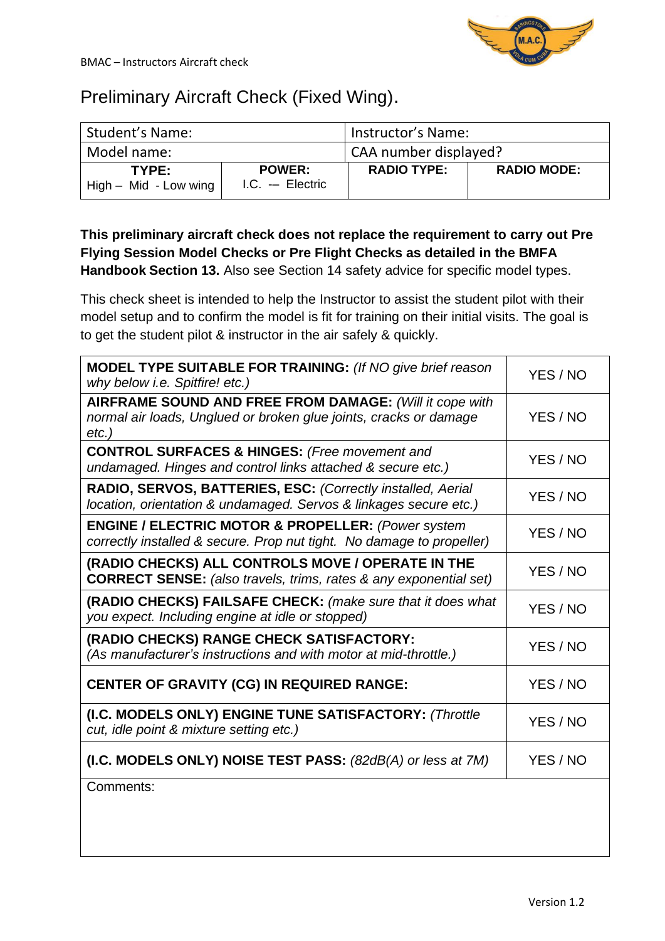

## Preliminary Aircraft Check (Fixed Wing).

| Student's Name:                  |                                   | Instructor's Name:    |                    |
|----------------------------------|-----------------------------------|-----------------------|--------------------|
| Model name:                      |                                   | CAA number displayed? |                    |
| TYPE:<br>$High - Mid - Low wing$ | <b>POWER:</b><br>$IC. - Electric$ | <b>RADIO TYPE:</b>    | <b>RADIO MODE:</b> |

## **This preliminary aircraft check does not replace the requirement to carry out Pre Flying Session Model Checks or Pre Flight Checks as detailed in the BMFA Handbook Section 13.** Also see Section 14 safety advice for specific model types.

This check sheet is intended to help the Instructor to assist the student pilot with their model setup and to confirm the model is fit for training on their initial visits. The goal is to get the student pilot & instructor in the air safely & quickly.

| <b>MODEL TYPE SUITABLE FOR TRAINING: (If NO give brief reason</b><br>why below <i>i.e.</i> Spitfire! etc.)                               | YES / NO |
|------------------------------------------------------------------------------------------------------------------------------------------|----------|
| AIRFRAME SOUND AND FREE FROM DAMAGE: (Will it cope with<br>normal air loads, Unglued or broken glue joints, cracks or damage<br>$etc.$ ) | YES / NO |
| <b>CONTROL SURFACES &amp; HINGES:</b> (Free movement and<br>undamaged. Hinges and control links attached & secure etc.)                  | YES / NO |
| RADIO, SERVOS, BATTERIES, ESC: (Correctly installed, Aerial<br>location, orientation & undamaged. Servos & linkages secure etc.)         | YES / NO |
| <b>ENGINE / ELECTRIC MOTOR &amp; PROPELLER: (Power system)</b><br>correctly installed & secure. Prop nut tight. No damage to propeller)  | YES / NO |
| (RADIO CHECKS) ALL CONTROLS MOVE / OPERATE IN THE<br><b>CORRECT SENSE:</b> (also travels, trims, rates & any exponential set)            | YES / NO |
| (RADIO CHECKS) FAILSAFE CHECK: (make sure that it does what<br>you expect. Including engine at idle or stopped)                          | YES / NO |
| (RADIO CHECKS) RANGE CHECK SATISFACTORY:<br>(As manufacturer's instructions and with motor at mid-throttle.)                             | YES / NO |
| <b>CENTER OF GRAVITY (CG) IN REQUIRED RANGE:</b>                                                                                         | YES / NO |
| (I.C. MODELS ONLY) ENGINE TUNE SATISFACTORY: (Throttle<br>cut, idle point & mixture setting etc.)                                        | YES / NO |
| (I.C. MODELS ONLY) NOISE TEST PASS: (82dB(A) or less at 7M)                                                                              | YES / NO |
| Comments:                                                                                                                                |          |